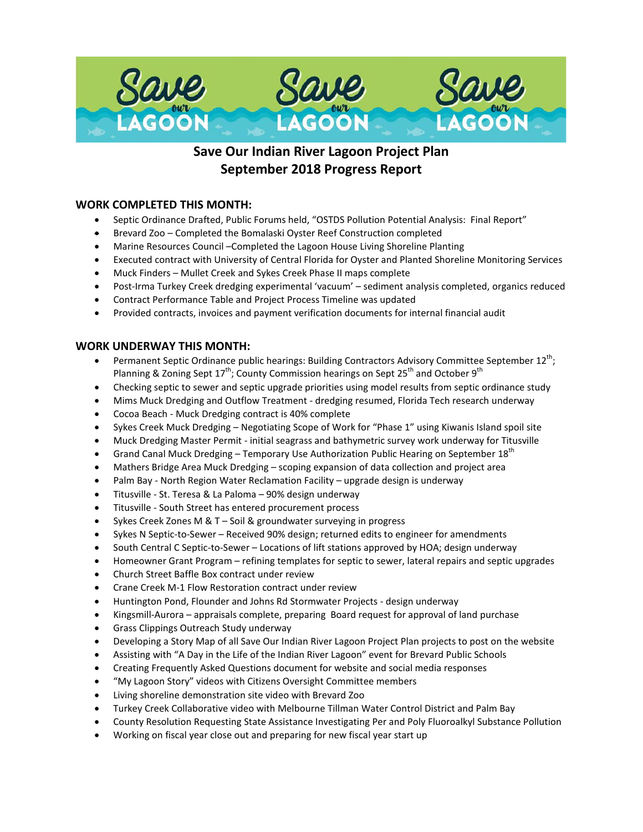

# **Save Our Indian River Lagoon Project Plan September 2018 Progress Report**

# **WORK COMPLETED THIS MONTH:**

- Septic Ordinance Drafted, Public Forums held, "OSTDS Pollution Potential Analysis: Final Report"
- Brevard Zoo Completed the Bomalaski Oyster Reef Construction completed
- Marine Resources Council –Completed the Lagoon House Living Shoreline Planting
- Executed contract with University of Central Florida for Oyster and Planted Shoreline Monitoring Services
- Muck Finders Mullet Creek and Sykes Creek Phase II maps complete
- Post-Irma Turkey Creek dredging experimental 'vacuum' sediment analysis completed, organics reduced
- Contract Performance Table and Project Process Timeline was updated
- Provided contracts, invoices and payment verification documents for internal financial audit

# **WORK UNDERWAY THIS MONTH:**

- Permanent Septic Ordinance public hearings: Building Contractors Advisory Committee September 12<sup>th</sup>; Planning & Zoning Sept 17<sup>th</sup>; County Commission hearings on Sept 25<sup>th</sup> and October 9<sup>th</sup>
- Checking septic to sewer and septic upgrade priorities using model results from septic ordinance study
- Mims Muck Dredging and Outflow Treatment dredging resumed, Florida Tech research underway
- Cocoa Beach Muck Dredging contract is 40% complete
- Sykes Creek Muck Dredging Negotiating Scope of Work for "Phase 1" using Kiwanis Island spoil site
- Muck Dredging Master Permit initial seagrass and bathymetric survey work underway for Titusville
- Grand Canal Muck Dredging Temporary Use Authorization Public Hearing on September  $18^{\text{th}}$
- Mathers Bridge Area Muck Dredging scoping expansion of data collection and project area
- Palm Bay North Region Water Reclamation Facility upgrade design is underway
- Titusville St. Teresa & La Paloma 90% design underway
- Titusville South Street has entered procurement process
- Sykes Creek Zones M & T Soil & groundwater surveying in progress
- Sykes N Septic-to-Sewer Received 90% design; returned edits to engineer for amendments
- South Central C Septic-to-Sewer Locations of lift stations approved by HOA; design underway
- Homeowner Grant Program refining templates for septic to sewer, lateral repairs and septic upgrades
- Church Street Baffle Box contract under review
- Crane Creek M-1 Flow Restoration contract under review
- Huntington Pond, Flounder and Johns Rd Stormwater Projects design underway
- Kingsmill-Aurora appraisals complete, preparing Board request for approval of land purchase
- Grass Clippings Outreach Study underway
- Developing a Story Map of all Save Our Indian River Lagoon Project Plan projects to post on the website
- Assisting with "A Day in the Life of the Indian River Lagoon" event for Brevard Public Schools
- Creating Frequently Asked Questions document for website and social media responses
- "My Lagoon Story" videos with Citizens Oversight Committee members
- Living shoreline demonstration site video with Brevard Zoo
- Turkey Creek Collaborative video with Melbourne Tillman Water Control District and Palm Bay
- County Resolution Requesting State Assistance Investigating Per and Poly Fluoroalkyl Substance Pollution
- Working on fiscal year close out and preparing for new fiscal year start up